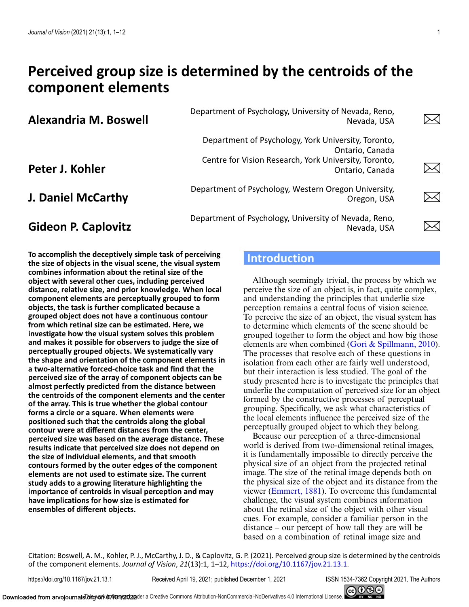# **Perceived group size is determined by the centroids of the component elements**

**Alexandria M. Boswell** Department of Psychology, University of Nevada, Reno,<br>Nevada USA

**Peter J. Kohler**

**J. Daniel McCarthy** Department of Psychology, Western Oregon University,<br>Oregon, USA

# **Gideon P. Caplovitz** Department of Psychology, University of Nevada, Reno,<br>Nevada, USA

**To accomplish the deceptively simple task of perceiving the size of objects in the visual scene, the visual system combines information about the retinal size of the object with several other cues, including perceived distance, relative size, and prior knowledge. When local component elements are perceptually grouped to form objects, the task is further complicated because a grouped object does not have a continuous contour from which retinal size can be estimated. Here, we investigate how the visual system solves this problem and makes it possible for observers to judge the size of perceptually grouped objects. We systematically vary the shape and orientation of the component elements in a two-alternative forced-choice task and find that the perceived size of the array of component objects can be almost perfectly predicted from the distance between the centroids of the component elements and the center of the array. This is true whether the global contour forms a circle or a square. When elements were positioned such that the centroids along the global contour were at different distances from the center, perceived size was based on the average distance. These results indicate that perceived size does not depend on the size of individual elements, and that smooth contours formed by the outer edges of the component elements are not used to estimate size. The current study adds to a growing literature highlighting the importance of centroids in visual perception and may have implications for how size is estimated for ensembles of different objects.**

# **Introduction**

Department of Psychology, York University, Toronto,

Centre for Vision Research, York University, Toronto,

Although seemingly trivial, the process by which we perceive the size of an object is, in fact, quite complex, and understanding the principles that underlie size perception remains a central focus of vision science. To perceive the size of an object, the visual system has to determine which elements of the scene should be grouped together to form the object and how big those elements are when combined [\(Gori & Spillmann, 2010\)](#page-10-0). The processes that resolve each of these questions in isolation from each other are fairly well understood, but their interaction is less studied. The goal of the study presented here is to investigate the principles that underlie the computation of perceived size for an object formed by the constructive processes of perceptual grouping. Specifically, we ask what characteristics of the local elements influence the perceived size of the perceptually grouped object to which they belong.

Nevada, USA

Ontario, Canada

Ontario, Canada

Oregon, USA

Nevada, USA

Because our perception of a three-dimensional world is derived from two-dimensional retinal images, it is fundamentally impossible to directly perceive the physical size of an object from the projected retinal image. The size of the retinal image depends both on the physical size of the object and its distance from the viewer [\(Emmert, 1881\)](#page-10-0). To overcome this fundamental challenge, the visual system combines information about the retinal size of the object with other visual cues. For example, consider a familiar person in the distance – our percept of how tall they are will be based on a combination of retinal image size and

Citation: Boswell, A. M., Kohler, P. J., McCarthy, J. D., & Caplovitz, G. P. (2021). Perceived group size is determined by the centroids of the component elements. *Journal of Vision*, *21*(13):1, 1–12, [https://doi.org/10.1167/jov.21.13.1.](https://doi.org/10.1167/jov.21.13.1)

https://doi.org/10.1167/jov.21.13.1 Received April 19, 2021; published December 1, 2021 ISSN 1534-7362 Copyright 2021, The Authors



 $\Join$ 

⋋⋌∣

⋋╱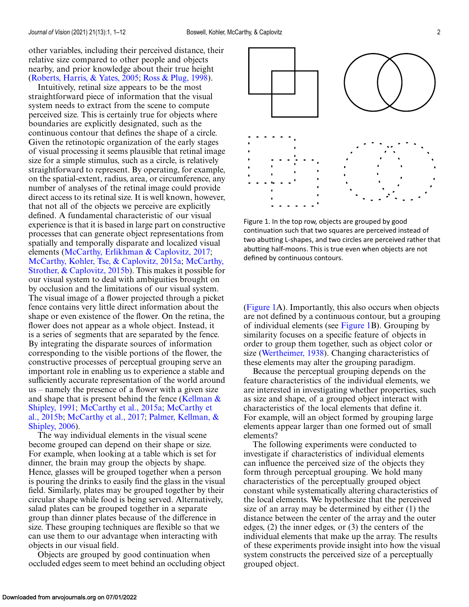other variables, including their perceived distance, their relative size compared to other people and objects nearby, and prior knowledge about their true height [\(Roberts, Harris, & Yates, 2005;](#page-11-0) [Ross & Plug, 1998\)](#page-11-0).

Intuitively, retinal size appears to be the most straightforward piece of information that the visual system needs to extract from the scene to compute perceived size. This is certainly true for objects where boundaries are explicitly designated, such as the continuous contour that defines the shape of a circle. Given the retinotopic organization of the early stages of visual processing it seems plausible that retinal image size for a simple stimulus, such as a circle, is relatively straightforward to represent. By operating, for example, on the spatial-extent, radius, area, or circumference, any number of analyses of the retinal image could provide direct access to its retinal size. It is well known, however, that not all of the objects we perceive are explicitly defined. A fundamental characteristic of our visual experience is that it is based in large part on constructive processes that can generate object representations from spatially and temporally disparate and localized visual elements [\(McCarthy, Erlikhman & Caplovitz, 2017;](#page-11-0) [McCarthy, Kohler, Tse, & Caplovitz, 2015a;](#page-11-0) McCarthy, [Strother, & Caplovitz, 2015b\). This makes it possible for](#page-11-0) our visual system to deal with ambiguities brought on by occlusion and the limitations of our visual system. The visual image of a flower projected through a picket fence contains very little direct information about the shape or even existence of the flower. On the retina, the flower does not appear as a whole object. Instead, it is a series of segments that are separated by the fence. By integrating the disparate sources of information corresponding to the visible portions of the flower, the constructive processes of perceptual grouping serve an important role in enabling us to experience a stable and sufficiently accurate representation of the world around us – namely the presence of a flower with a given size and shape that is present behind the fence (Kellman  $\&$ Shipley, 1991; [McCarthy et al., 2015a;](#page-11-0) McCarthy et al., 2015b; [McCarthy et al., 2017;](#page-11-0) Palmer, Kellman, & Shipley, 2006).

The way individual elements in the visual scene become grouped can depend on their shape or size. For example, when looking at a table which is set for dinner, the brain may group the objects by shape. Hence, glasses will be grouped together when a person is pouring the drinks to easily find the glass in the visual field. Similarly, plates may be grouped together by their circular shape while food is being served. Alternatively, salad plates can be grouped together in a separate group than dinner plates because of the difference in size. These grouping techniques are flexible so that we can use them to our advantage when interacting with objects in our visual field.

Objects are grouped by good continuation when occluded edges seem to meet behind an occluding object

Figure 1. In the top row, objects are grouped by good continuation such that two squares are perceived instead of two abutting L-shapes, and two circles are perceived rather that abutting half-moons. This is true even when objects are not defined by continuous contours.

(Figure 1A). Importantly, this also occurs when objects are not defined by a continuous contour, but a grouping of individual elements (see Figure 1B). Grouping by similarity focuses on a specific feature of objects in order to group them together, such as object color or size [\(Wertheimer, 1938\)](#page-11-0). Changing characteristics of these elements may alter the grouping paradigm.

Because the perceptual grouping depends on the feature characteristics of the individual elements, we are interested in investigating whether properties, such as size and shape, of a grouped object interact with characteristics of the local elements that define it. For example, will an object formed by grouping large elements appear larger than one formed out of small elements?

The following experiments were conducted to investigate if characteristics of individual elements can influence the perceived size of the objects they form through perceptual grouping. We hold many characteristics of the perceptually grouped object constant while systematically altering characteristics of the local elements. We hypothesize that the perceived size of an array may be determined by either (1) the distance between the center of the array and the outer edges, (2) the inner edges, or (3) the centers of the individual elements that make up the array. The results of these experiments provide insight into how the visual system constructs the perceived size of a perceptually grouped object.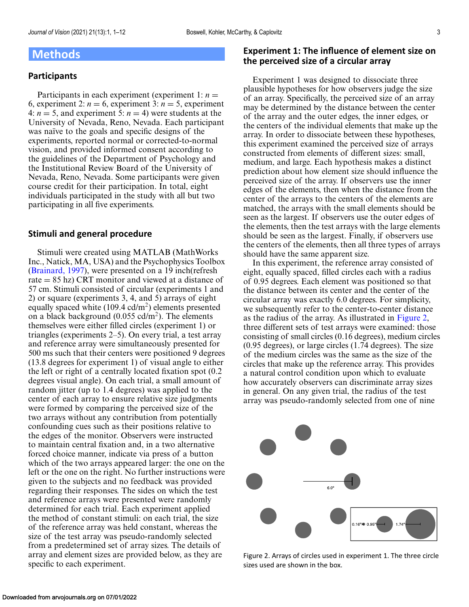### <span id="page-2-0"></span>**Methods**

#### **Participants**

Participants in each experiment (experiment 1:  $n =$ 6, experiment 2:  $n = 6$ , experiment 3:  $n = 5$ , experiment 4:  $n = 5$ , and experiment 5:  $n = 4$ ) were students at the University of Nevada, Reno, Nevada. Each participant was naïve to the goals and specific designs of the experiments, reported normal or corrected-to-normal vision, and provided informed consent according to the guidelines of the Department of Psychology and the Institutional Review Board of the University of Nevada, Reno, Nevada. Some participants were given course credit for their participation. In total, eight individuals participated in the study with all but two participating in all five experiments.

#### **Stimuli and general procedure**

Stimuli were created using MATLAB (MathWorks Inc., Natick, MA, USA) and the Psychophysics Toolbox [\(Brainard, 1997\)](#page-10-0), were presented on a 19 inch(refresh rate  $= 85$  hz) CRT monitor and viewed at a distance of 57 cm. Stimuli consisted of circular (experiments 1 and 2) or square (experiments 3, 4, and 5) arrays of eight equally spaced white  $(109.4 \text{ cd/m}^2)$  elements presented on a black background  $(0.055 \text{ cd/m}^2)$ . The elements themselves were either filled circles (experiment 1) or triangles (experiments 2–5). On every trial, a test array and reference array were simultaneously presented for 500 ms such that their centers were positioned 9 degrees (13.8 degrees for experiment 1) of visual angle to either the left or right of a centrally located fixation spot (0.2 degrees visual angle). On each trial, a small amount of random jitter (up to 1.4 degrees) was applied to the center of each array to ensure relative size judgments were formed by comparing the perceived size of the two arrays without any contribution from potentially confounding cues such as their positions relative to the edges of the monitor. Observers were instructed to maintain central fixation and, in a two alternative forced choice manner, indicate via press of a button which of the two arrays appeared larger: the one on the left or the one on the right. No further instructions were given to the subjects and no feedback was provided regarding their responses. The sides on which the test and reference arrays were presented were randomly determined for each trial. Each experiment applied the method of constant stimuli: on each trial, the size of the reference array was held constant, whereas the size of the test array was pseudo-randomly selected from a predetermined set of array sizes. The details of array and element sizes are provided below, as they are specific to each experiment.

#### **Experiment 1: The influence of element size on the perceived size of a circular array**

Experiment 1 was designed to dissociate three plausible hypotheses for how observers judge the size of an array. Specifically, the perceived size of an array may be determined by the distance between the center of the array and the outer edges, the inner edges, or the centers of the individual elements that make up the array. In order to dissociate between these hypotheses, this experiment examined the perceived size of arrays constructed from elements of different sizes: small, medium, and large. Each hypothesis makes a distinct prediction about how element size should influence the perceived size of the array. If observers use the inner edges of the elements, then when the distance from the center of the arrays to the centers of the elements are matched, the arrays with the small elements should be seen as the largest. If observers use the outer edges of the elements, then the test arrays with the large elements should be seen as the largest. Finally, if observers use the centers of the elements, then all three types of arrays should have the same apparent size.

In this experiment, the reference array consisted of eight, equally spaced, filled circles each with a radius of 0.95 degrees. Each element was positioned so that the distance between its center and the center of the circular array was exactly 6.0 degrees. For simplicity, we subsequently refer to the center-to-center distance as the radius of the array. As illustrated in Figure 2, three different sets of test arrays were examined: those consisting of small circles (0.16 degrees), medium circles (0.95 degrees), or large circles (1.74 degrees). The size of the medium circles was the same as the size of the circles that make up the reference array. This provides a natural control condition upon which to evaluate how accurately observers can discriminate array sizes in general. On any given trial, the radius of the test array was pseudo-randomly selected from one of nine



Figure 2. Arrays of circles used in experiment 1. The three circle sizes used are shown in the box.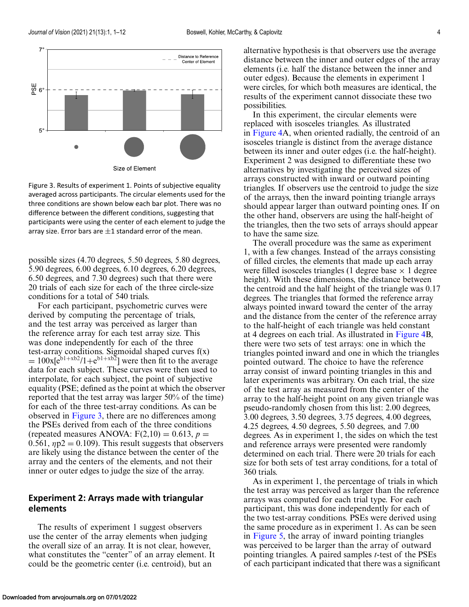

Figure 3. Results of experiment 1. Points of subjective equality averaged across participants. The circular elements used for the three conditions are shown below each bar plot. There was no difference between the different conditions, suggesting that participants were using the center of each element to judge the array size. Error bars are  $\pm 1$  standard error of the mean.

possible sizes (4.70 degrees, 5.50 degrees, 5.80 degrees, 5.90 degrees, 6.00 degrees, 6.10 degrees, 6.20 degrees, 6.50 degrees, and 7.30 degrees) such that there were 20 trials of each size for each of the three circle-size conditions for a total of 540 trials.

For each participant, psychometric curves were derived by computing the percentage of trials, and the test array was perceived as larger than the reference array for each test array size. This was done independently for each of the three test-array conditions. Sigmoidal shaped curves  $f(x)$  $= 100x[e^{b1+xb^2}/1+e^{b1+xb^2}]$  were then fit to the average data for each subject. These curves were then used to interpolate, for each subject, the point of subjective equality (PSE; defined as the point at which the observer reported that the test array was larger 50% of the time) for each of the three test-array conditions. As can be observed in Figure 3, there are no differences among the PSEs derived from each of the three conditions (repeated measures ANOVA:  $F(2,10) = 0.613$ ,  $p =$ 0.561,  $np2 = 0.109$ . This result suggests that observers are likely using the distance between the center of the array and the centers of the elements, and not their inner or outer edges to judge the size of the array.

#### **Experiment 2: Arrays made with triangular elements**

The results of experiment 1 suggest observers use the center of the array elements when judging the overall size of an array. It is not clear, however, what constitutes the "center" of an array element. It could be the geometric center (i.e. centroid), but an

alternative hypothesis is that observers use the average distance between the inner and outer edges of the array elements (i.e. half the distance between the inner and outer edges). Because the elements in experiment 1 were circles, for which both measures are identical, the results of the experiment cannot dissociate these two possibilities.

In this experiment, the circular elements were replaced with isosceles triangles. As illustrated in [Figure 4A](#page-4-0), when oriented radially, the centroid of an isosceles triangle is distinct from the average distance between its inner and outer edges (i.e. the half-height). Experiment 2 was designed to differentiate these two alternatives by investigating the perceived sizes of arrays constructed with inward or outward pointing triangles. If observers use the centroid to judge the size of the arrays, then the inward pointing triangle arrays should appear larger than outward pointing ones. If on the other hand, observers are using the half-height of the triangles, then the two sets of arrays should appear to have the same size.

The overall procedure was the same as experiment 1, with a few changes. Instead of the arrays consisting of filled circles, the elements that made up each array were filled isosceles triangles (1 degree base  $\times$  1 degree height). With these dimensions, the distance between the centroid and the half height of the triangle was 0.17 degrees. The triangles that formed the reference array always pointed inward toward the center of the array and the distance from the center of the reference array to the half-height of each triangle was held constant at 4 degrees on each trial. As illustrated in [Figure 4B](#page-4-0), there were two sets of test arrays: one in which the triangles pointed inward and one in which the triangles pointed outward. The choice to have the reference array consist of inward pointing triangles in this and later experiments was arbitrary. On each trial, the size of the test array as measured from the center of the array to the half-height point on any given triangle was pseudo-randomly chosen from this list: 2.00 degrees, 3.00 degrees, 3.50 degrees, 3.75 degrees, 4.00 degrees, 4.25 degrees, 4.50 degrees, 5.50 degrees, and 7.00 degrees. As in experiment 1, the sides on which the test and reference arrays were presented were randomly determined on each trial. There were 20 trials for each size for both sets of test array conditions, for a total of 360 trials.

As in experiment 1, the percentage of trials in which the test array was perceived as larger than the reference arrays was computed for each trial type. For each participant, this was done independently for each of the two test-array conditions. PSEs were derived using the same procedure as in experiment 1. As can be seen in [Figure 5,](#page-4-0) the array of inward pointing triangles was perceived to be larger than the array of outward pointing triangles. A paired samples *t*-test of the PSEs of each participant indicated that there was a significant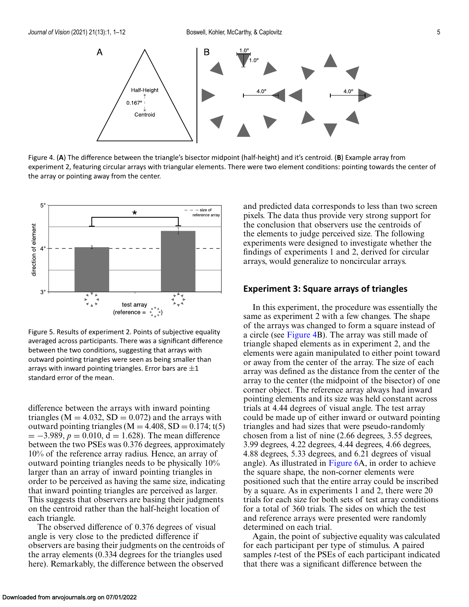<span id="page-4-0"></span>

Figure 4. (**A**) The difference between the triangle's bisector midpoint (half-height) and it's centroid. (**B**) Example array from experiment 2, featuring circular arrays with triangular elements. There were two element conditions: pointing towards the center of the array or pointing away from the center.



Figure 5. Results of experiment 2. Points of subjective equality averaged across participants. There was a significant difference between the two conditions, suggesting that arrays with outward pointing triangles were seen as being smaller than arrays with inward pointing triangles. Error bars are  $\pm 1$ standard error of the mean.

difference between the arrays with inward pointing triangles ( $M = 4.032$ ,  $SD = 0.072$ ) and the arrays with outward pointing triangles ( $M = 4.408$ ,  $SD = 0.174$ ; t(5)  $= -3.989, p = 0.010, d = 1.628$ . The mean difference between the two PSEs was 0.376 degrees, approximately 10% of the reference array radius. Hence, an array of outward pointing triangles needs to be physically 10% larger than an array of inward pointing triangles in order to be perceived as having the same size, indicating that inward pointing triangles are perceived as larger. This suggests that observers are basing their judgments on the centroid rather than the half-height location of each triangle.

The observed difference of 0.376 degrees of visual angle is very close to the predicted difference if observers are basing their judgments on the centroids of the array elements (0.334 degrees for the triangles used here). Remarkably, the difference between the observed

and predicted data corresponds to less than two screen pixels. The data thus provide very strong support for the conclusion that observers use the centroids of the elements to judge perceived size. The following experiments were designed to investigate whether the findings of experiments 1 and 2, derived for circular arrays, would generalize to noncircular arrays.

#### **Experiment 3: Square arrays of triangles**

In this experiment, the procedure was essentially the same as experiment 2 with a few changes. The shape of the arrays was changed to form a square instead of a circle (see Figure 4B). The array was still made of triangle shaped elements as in experiment 2, and the elements were again manipulated to either point toward or away from the center of the array. The size of each array was defined as the distance from the center of the array to the center (the midpoint of the bisector) of one corner object. The reference array always had inward pointing elements and its size was held constant across trials at 4.44 degrees of visual angle. The test array could be made up of either inward or outward pointing triangles and had sizes that were pseudo-randomly chosen from a list of nine (2.66 degrees, 3.55 degrees, 3.99 degrees, 4.22 degrees, 4.44 degrees, 4.66 degrees, 4.88 degrees, 5.33 degrees, and 6.21 degrees of visual angle). As illustrated in [Figure 6A](#page-5-0), in order to achieve the square shape, the non-corner elements were positioned such that the entire array could be inscribed by a square. As in experiments 1 and 2, there were 20 trials for each size for both sets of test array conditions for a total of 360 trials. The sides on which the test and reference arrays were presented were randomly determined on each trial.

Again, the point of subjective equality was calculated for each participant per type of stimulus. A paired samples *t*-test of the PSEs of each participant indicated that there was a significant difference between the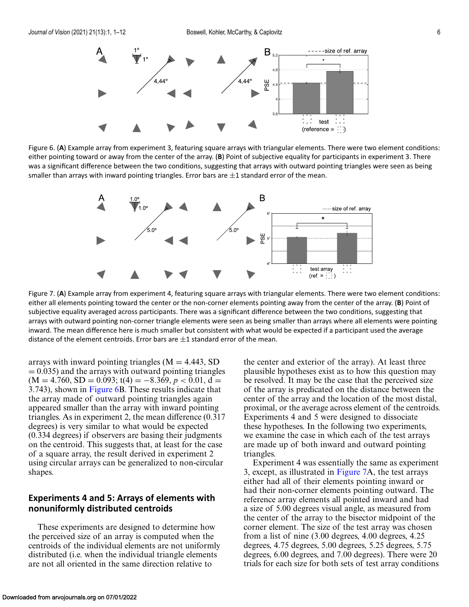<span id="page-5-0"></span>

Figure 6. (**A**) Example array from experiment 3, featuring square arrays with triangular elements. There were two element conditions: either pointing toward or away from the center of the array. (**B**) Point of subjective equality for participants in experiment 3. There was a significant difference between the two conditions, suggesting that arrays with outward pointing triangles were seen as being smaller than arrays with inward pointing triangles. Error bars are  $\pm 1$  standard error of the mean.



Figure 7. (**A**) Example array from experiment 4, featuring square arrays with triangular elements. There were two element conditions: either all elements pointing toward the center or the non-corner elements pointing away from the center of the array. (**B**) Point of subjective equality averaged across participants. There was a significant difference between the two conditions, suggesting that arrays with outward pointing non-corner triangle elements were seen as being smaller than arrays where all elements were pointing inward. The mean difference here is much smaller but consistent with what would be expected if a participant used the average distance of the element centroids. Error bars are  $\pm 1$  standard error of the mean.

arrays with inward pointing triangles  $(M = 4.443, SD)$  $= 0.035$ ) and the arrays with outward pointing triangles  $(M = 4.760, SD = 0.093; t(4) = -8.369, p < 0.01, d =$ 3.743), shown in Figure 6B. These results indicate that the array made of outward pointing triangles again appeared smaller than the array with inward pointing triangles. As in experiment 2, the mean difference (0.317 degrees) is very similar to what would be expected (0.334 degrees) if observers are basing their judgments on the centroid. This suggests that, at least for the case of a square array, the result derived in experiment 2 using circular arrays can be generalized to non-circular shapes.

#### **Experiments 4 and 5: Arrays of elements with nonuniformly distributed centroids**

These experiments are designed to determine how the perceived size of an array is computed when the centroids of the individual elements are not uniformly distributed (i.e. when the individual triangle elements are not all oriented in the same direction relative to

the center and exterior of the array). At least three plausible hypotheses exist as to how this question may be resolved. It may be the case that the perceived size of the array is predicated on the distance between the center of the array and the location of the most distal, proximal, or the average across element of the centroids. Experiments 4 and 5 were designed to dissociate these hypotheses. In the following two experiments, we examine the case in which each of the test arrays are made up of both inward and outward pointing triangles.

Experiment 4 was essentially the same as experiment 3, except, as illustrated in Figure 7A, the test arrays either had all of their elements pointing inward or had their non-corner elements pointing outward. The reference array elements all pointed inward and had a size of 5.00 degrees visual angle, as measured from the center of the array to the bisector midpoint of the corner element. The size of the test array was chosen from a list of nine (3.00 degrees, 4.00 degrees, 4.25 degrees, 4.75 degrees, 5.00 degrees, 5.25 degrees, 5.75 degrees, 6.00 degrees, and 7.00 degrees). There were 20 trials for each size for both sets of test array conditions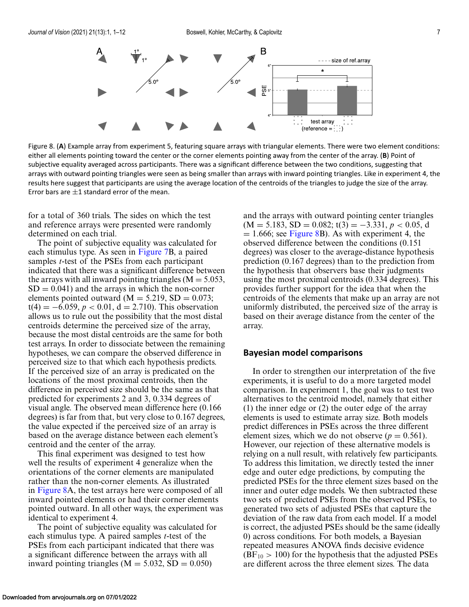

Figure 8. (**A**) Example array from experiment 5, featuring square arrays with triangular elements. There were two element conditions: either all elements pointing toward the center or the corner elements pointing away from the center of the array. (**B**) Point of subjective equality averaged across participants. There was a significant difference between the two conditions, suggesting that arrays with outward pointing triangles were seen as being smaller than arrays with inward pointing triangles. Like in experiment 4, the results here suggest that participants are using the average location of the centroids of the triangles to judge the size of the array. Error bars are  $\pm 1$  standard error of the mean.

for a total of 360 trials. The sides on which the test and reference arrays were presented were randomly determined on each trial.

The point of subjective equality was calculated for each stimulus type. As seen in [Figure 7B](#page-5-0), a paired samples *t*-test of the PSEs from each participant indicated that there was a significant difference between the arrays with all inward pointing triangles ( $M = 5.053$ ,  $SD = 0.041$ ) and the arrays in which the non-corner elements pointed outward ( $M = 5.219$ , SD = 0.073;  $t(4) = -6.059, p < 0.01, d = 2.710$ . This observation allows us to rule out the possibility that the most distal centroids determine the perceived size of the array, because the most distal centroids are the same for both test arrays. In order to dissociate between the remaining hypotheses, we can compare the observed difference in perceived size to that which each hypothesis predicts. If the perceived size of an array is predicated on the locations of the most proximal centroids, then the difference in perceived size should be the same as that predicted for experiments 2 and 3, 0.334 degrees of visual angle. The observed mean difference here (0.166 degrees) is far from that, but very close to 0.167 degrees, the value expected if the perceived size of an array is based on the average distance between each element's centroid and the center of the array.

This final experiment was designed to test how well the results of experiment 4 generalize when the orientations of the corner elements are manipulated rather than the non-corner elements. As illustrated in Figure 8A, the test arrays here were composed of all inward pointed elements or had their corner elements pointed outward. In all other ways, the experiment was identical to experiment 4.

The point of subjective equality was calculated for each stimulus type. A paired samples *t*-test of the PSEs from each participant indicated that there was a significant difference between the arrays with all inward pointing triangles ( $M = 5.032$ , SD = 0.050)

and the arrays with outward pointing center triangles  $(M = 5.183, SD = 0.082; t(3) = -3.331, p < 0.05, d$  $= 1.666$ ; see Figure 8B). As with experiment 4, the observed difference between the conditions (0.151 degrees) was closer to the average-distance hypothesis prediction (0.167 degrees) than to the prediction from the hypothesis that observers base their judgments using the most proximal centroids (0.334 degrees). This provides further support for the idea that when the centroids of the elements that make up an array are not uniformly distributed, the perceived size of the array is based on their average distance from the center of the array.

#### **Bayesian model comparisons**

In order to strengthen our interpretation of the five experiments, it is useful to do a more targeted model comparison. In experiment 1, the goal was to test two alternatives to the centroid model, namely that either (1) the inner edge or (2) the outer edge of the array elements is used to estimate array size. Both models predict differences in PSEs across the three different element sizes, which we do not observe  $(p = 0.561)$ . However, our rejection of these alternative models is relying on a null result, with relatively few participants. To address this limitation, we directly tested the inner edge and outer edge predictions, by computing the predicted PSEs for the three element sizes based on the inner and outer edge models. We then subtracted these two sets of predicted PSEs from the observed PSEs, to generated two sets of adjusted PSEs that capture the deviation of the raw data from each model. If a model is correct, the adjusted PSEs should be the same (ideally 0) across conditions. For both models, a Bayesian repeated measures ANOVA finds decisive evidence  $(BF_{10} > 100)$  for the hypothesis that the adjusted PSEs are different across the three element sizes. The data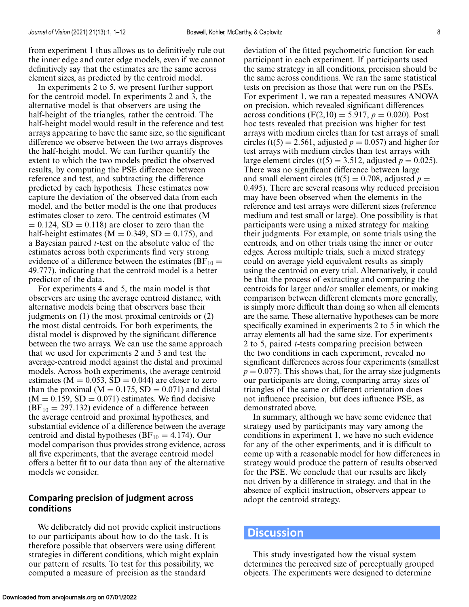from experiment 1 thus allows us to definitively rule out the inner edge and outer edge models, even if we cannot definitively say that the estimates are the same across element sizes, as predicted by the centroid model.

In experiments 2 to 5, we present further support for the centroid model. In experiments 2 and 3, the alternative model is that observers are using the half-height of the triangles, rather the centroid. The half-height model would result in the reference and test arrays appearing to have the same size, so the significant difference we observe between the two arrays disproves the half-height model. We can further quantify the extent to which the two models predict the observed results, by computing the PSE difference between reference and test, and subtracting the difference predicted by each hypothesis. These estimates now capture the deviation of the observed data from each model, and the better model is the one that produces estimates closer to zero. The centroid estimates (M  $= 0.124$ , SD  $= 0.118$ ) are closer to zero than the half-height estimates ( $M = 0.349$ ,  $SD = 0.175$ ), and a Bayesian paired *t*-test on the absolute value of the estimates across both experiments find very strong evidence of a difference between the estimates ( $BF_{10}$  = 49.777), indicating that the centroid model is a better predictor of the data.

For experiments 4 and 5, the main model is that observers are using the average centroid distance, with alternative models being that observers base their judgments on (1) the most proximal centroids or (2) the most distal centroids. For both experiments, the distal model is disproved by the significant difference between the two arrays. We can use the same approach that we used for experiments 2 and 3 and test the average-centroid model against the distal and proximal models. Across both experiments, the average centroid estimates ( $M = 0.053$ ,  $SD = 0.044$ ) are closer to zero than the proximal ( $M = 0.175$ , SD = 0.071) and distal  $(M = 0.159, SD = 0.071)$  estimates. We find decisive  $(BF_{10} = 297.132)$  evidence of a difference between the average centroid and proximal hypotheses, and substantial evidence of a difference between the average centroid and distal hypotheses ( $BF_{10} = 4.174$ ). Our model comparison thus provides strong evidence, across all five experiments, that the average centroid model offers a better fit to our data than any of the alternative models we consider.

#### **Comparing precision of judgment across conditions**

We deliberately did not provide explicit instructions to our participants about how to do the task. It is therefore possible that observers were using different strategies in different conditions, which might explain our pattern of results. To test for this possibility, we computed a measure of precision as the standard

deviation of the fitted psychometric function for each participant in each experiment. If participants used the same strategy in all conditions, precision should be the same across conditions. We ran the same statistical tests on precision as those that were run on the PSEs. For experiment 1, we ran a repeated measures ANOVA on precision, which revealed significant differences across conditions ( $F(2,10) = 5.917$ ,  $p = 0.020$ ). Post hoc tests revealed that precision was higher for test arrays with medium circles than for test arrays of small circles (t(5) = 2.561, adjusted  $p = 0.057$ ) and higher for test arrays with medium circles than test arrays with large element circles (t(5) = 3.512, adjusted  $p = 0.025$ ). There was no significant difference between large and small element circles (t(5) = 0.708, adjusted  $p =$ 0.495). There are several reasons why reduced precision may have been observed when the elements in the reference and test arrays were different sizes (reference medium and test small or large). One possibility is that participants were using a mixed strategy for making their judgments. For example, on some trials using the centroids, and on other trials using the inner or outer edges. Across multiple trials, such a mixed strategy could on average yield equivalent results as simply using the centroid on every trial. Alternatively, it could be that the process of extracting and comparing the centroids for larger and/or smaller elements, or making comparison between different elements more generally, is simply more difficult than doing so when all elements are the same. These alternative hypotheses can be more specifically examined in experiments 2 to 5 in which the array elements all had the same size. For experiments 2 to 5, paired *t*-tests comparing precision between the two conditions in each experiment, revealed no significant differences across four experiments (smallest  $p = 0.077$ ). This shows that, for the array size judgments our participants are doing, comparing array sizes of triangles of the same or different orientation does not influence precision, but does influence PSE, as demonstrated above.

In summary, although we have some evidence that strategy used by participants may vary among the conditions in experiment 1, we have no such evidence for any of the other experiments, and it is difficult to come up with a reasonable model for how differences in strategy would produce the pattern of results observed for the PSE. We conclude that our results are likely not driven by a difference in strategy, and that in the absence of explicit instruction, observers appear to adopt the centroid strategy.

#### **Discussion**

This study investigated how the visual system determines the perceived size of perceptually grouped objects. The experiments were designed to determine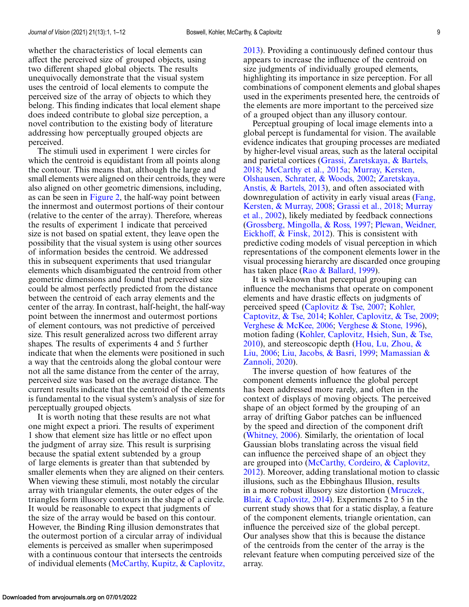whether the characteristics of local elements can affect the perceived size of grouped objects, using two different shaped global objects. The results unequivocally demonstrate that the visual system uses the centroid of local elements to compute the perceived size of the array of objects to which they belong. This finding indicates that local element shape does indeed contribute to global size perception, a novel contribution to the existing body of literature addressing how perceptually grouped objects are perceived.

The stimuli used in experiment 1 were circles for which the centroid is equidistant from all points along the contour. This means that, although the large and small elements were aligned on their centroids, they were also aligned on other geometric dimensions, including, as can be seen in [Figure 2,](#page-2-0) the half-way point between the innermost and outermost portions of their contour (relative to the center of the array). Therefore, whereas the results of experiment 1 indicate that perceived size is not based on spatial extent, they leave open the possibility that the visual system is using other sources of information besides the centroid. We addressed this in subsequent experiments that used triangular elements which disambiguated the centroid from other geometric dimensions and found that perceived size could be almost perfectly predicted from the distance between the centroid of each array elements and the center of the array. In contrast, half-height, the half-way point between the innermost and outermost portions of element contours, was not predictive of perceived size. This result generalized across two different array shapes. The results of experiments 4 and 5 further indicate that when the elements were positioned in such a way that the centroids along the global contour were not all the same distance from the center of the array, perceived size was based on the average distance. The current results indicate that the centroid of the elements is fundamental to the visual system's analysis of size for perceptually grouped objects.

It is worth noting that these results are not what one might expect a priori. The results of experiment 1 show that element size has little or no effect upon the judgment of array size. This result is surprising because the spatial extent subtended by a group of large elements is greater than that subtended by smaller elements when they are aligned on their centers. When viewing these stimuli, most notably the circular array with triangular elements, the outer edges of the triangles form illusory contours in the shape of a circle. It would be reasonable to expect that judgments of the size of the array would be based on this contour. However, the Binding Ring illusion demonstrates that the outermost portion of a circular array of individual elements is perceived as smaller when superimposed with a continuous contour that intersects the centroids of individual elements [\(McCarthy, Kupitz, & Caplovitz,](#page-11-0) [2013\)](#page-11-0). Providing a continuously defined contour thus appears to increase the influence of the centroid on size judgments of individually grouped elements, highlighting its importance in size perception. For all combinations of component elements and global shapes used in the experiments presented here, the centroids of the elements are more important to the perceived size of a grouped object than any illusory contour.

Perceptual grouping of local image elements into a global percept is fundamental for vision. The available evidence indicates that grouping processes are mediated by higher-level visual areas, such as the lateral occipital [and parietal cortices \(Grassi, Zaretskaya, & Bartels,](#page-10-0) 2018; [McCarthy et al., 2015a;](#page-11-0) Murray, Kersten, [Olshausen, Schrater, & Woods, 2002;](#page-11-0) Zaretskaya, [Anstis, & Bartels, 2013\), and often associated with](#page-11-0) [downregulation of activity in early visual areas \(Fang,](#page-10-0) Kersten, & Murray, 2008; [Grassi et al., 2018;](#page-10-0) Murray [et al., 2002\), likely mediated by feedback connections](#page-11-0) [\(Grossberg, Mingolla, & Ross, 1997;](#page-10-0) Plewan, Weidner, [Eickhoff, & Finsk, 2012\). This is consistent with](#page-11-0) predictive coding models of visual perception in which representations of the component elements lower in the visual processing hierarchy are discarded once grouping has taken place [\(Rao & Ballard, 1999\)](#page-11-0).

It is well-known that perceptual grouping can influence the mechanisms that operate on component elements and have drastic effects on judgments of [perceived speed \(Caplovitz & Tse, 2007;](#page-10-0) Kohler, Captovitz, & Tse, 2014; [Kohler, Caplovitz, & Tse, 2009;](#page-10-0) [Verghese & McKee, 2006;](#page-11-0) [Verghese & Stone, 1996\)](#page-11-0), [motion fading \(Kohler, Caplovitz, Hsieh, Sun, & Tse,](#page-10-0) 2010), and stereoscopic depth (Hou, Lu, Zhou,  $\&$ Liu, 2006; [Liu, Jacobs, & Basri, 1999](#page-10-0)[;](#page-11-0) Mamassian & Zannoli, 2020).

The inverse question of how features of the component elements influence the global percept has been addressed more rarely, and often in the context of displays of moving objects. The perceived shape of an object formed by the grouping of an array of drifting Gabor patches can be influenced by the speed and direction of the component drift [\(Whitney, 2006\)](#page-11-0). Similarly, the orientation of local Gaussian blobs translating across the visual field can influence the perceived shape of an object they are grouped into (McCarthy, Cordeiro, & Caplovitz, [2012\). Moreover, adding translational motion to class](#page-11-0)ic illusions, such as the Ebbinghaus Illusion, results in a more robust illusory size distortion (Mruczek, [Blair, & Caplovitz, 2014\). Experiments 2 to 5 in the](#page-11-0) current study shows that for a static display, a feature of the component elements, triangle orientation, can influence the perceived size of the global percept. Our analyses show that this is because the distance of the centroids from the center of the array is the relevant feature when computing perceived size of the array.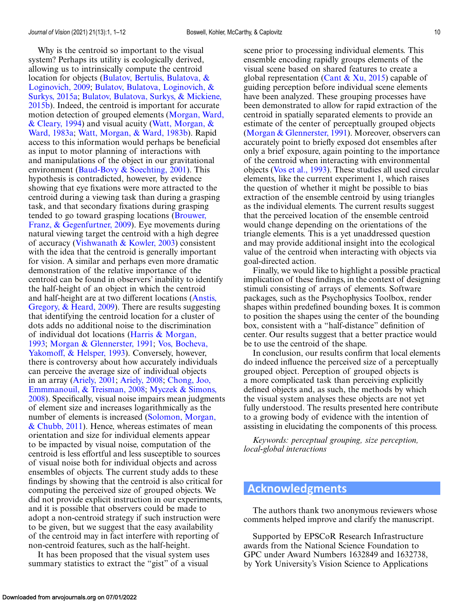Why is the centroid so important to the visual system? Perhaps its utility is ecologically derived, allowing us to intrinsically compute the centroid [location for objects \(Bulatov, Bertulis, Bulatova, &](#page-10-0) Loginovich, 2009; Bulatov, Bulatova, Loginovich, & Surkys, 2015a; [Bulatov, Bulatova, Surkys, & Mickien](#page-10-0)e, [2015b\). Indeed, the centroid is important for accurate](#page-10-0) [motion detection of grouped elements \(Morgan, Ward,](#page-11-0) [& Cleary, 1994\) and visual acuity \(Watt, Morgan, &](#page-11-0) Ward, 1983a; [Watt, Morgan, & Ward, 1983b\)](#page-11-0). Rapid access to this information would perhaps be beneficial as input to motor planning of interactions with and manipulations of the object in our gravitational environment [\(Baud-Bovy & Soechting, 2001\)](#page-10-0). This hypothesis is contradicted, however, by evidence showing that eye fixations were more attracted to the centroid during a viewing task than during a grasping task, and that secondary fixations during grasping tended to go toward grasping locations (Brouwer, [Franz, & Gegenfurtner, 2009\). Eye movements dur](#page-10-0)ing natural viewing target the centroid with a high degree of accuracy (Vishwanath  $&$  Kowler, 2003) consistent with the idea that the centroid is generally important for vision. A similar and perhaps even more dramatic demonstration of the relative importance of the centroid can be found in observers' inability to identify the half-height of an object in which the centroid and half-height are at two different locations (Anstis, [Gregory, & Heard, 2009\). There are results suggesting](#page-10-0) that identifying the centroid location for a cluster of dots adds no additional noise to the discrimination [of individual dot locations \(Harris & Morgan,](#page-10-0) 1993; [Morgan & Glennerster, 1991;](#page-11-0) Vos, Bocheva, [Yakomoff, & Helsper, 1993\). Conversely, however,](#page-11-0) there is controversy about how accurately individuals can perceive the average size of individual objects in an array [\(Ariely, 2001;](#page-10-0) [Ariely, 2008;](#page-10-0) Chong, Joo, [Emmmanouil, & Treisman, 2008;](#page-10-0) Myczek & Simons, [2008\). Specifically, visual noise impairs mean judgmen](#page-11-0)ts of element size and increases logarithmically as the [number of elements is increased \(Solomon, Morgan,](#page-11-0) & Chubb, 2011). Hence, whereas estimates of mean orientation and size for individual elements appear to be impacted by visual noise, computation of the centroid is less effortful and less susceptible to sources of visual noise both for individual objects and across ensembles of objects. The current study adds to these findings by showing that the centroid is also critical for computing the perceived size of grouped objects. We did not provide explicit instruction in our experiments, and it is possible that observers could be made to adopt a non-centroid strategy if such instruction were to be given, but we suggest that the easy availability of the centroid may in fact interfere with reporting of non-centroid features, such as the half-height.

It has been proposed that the visual system uses summary statistics to extract the "gist" of a visual

scene prior to processing individual elements. This ensemble encoding rapidly groups elements of the visual scene based on shared features to create a global representation [\(Cant & Xu, 2015\)](#page-10-0) capable of guiding perception before individual scene elements have been analyzed. These grouping processes have been demonstrated to allow for rapid extraction of the centroid in spatially separated elements to provide an estimate of the center of perceptually grouped objects [\(Morgan & Glennerster, 1991\)](#page-11-0). Moreover, observers can accurately point to briefly exposed dot ensembles after only a brief exposure, again pointing to the importance of the centroid when interacting with environmental objects [\(Vos et al., 1993\)](#page-11-0). These studies all used circular elements, like the current experiment 1, which raises the question of whether it might be possible to bias extraction of the ensemble centroid by using triangles as the individual elements. The current results suggest that the perceived location of the ensemble centroid would change depending on the orientations of the triangle elements. This is a yet unaddressed question and may provide additional insight into the ecological value of the centroid when interacting with objects via goal-directed action.

Finally, we would like to highlight a possible practical implication of these findings, in the context of designing stimuli consisting of arrays of elements. Software packages, such as the Psychophysics Toolbox, render shapes within predefined bounding boxes. It is common to position the shapes using the center of the bounding box, consistent with a "half-distance" definition of center. Our results suggest that a better practice would be to use the centroid of the shape.

In conclusion, our results confirm that local elements do indeed influence the perceived size of a perceptually grouped object. Perception of grouped objects is a more complicated task than perceiving explicitly defined objects and, as such, the methods by which the visual system analyses these objects are not yet fully understood. The results presented here contribute to a growing body of evidence with the intention of assisting in elucidating the components of this process.

*Keywords: perceptual grouping, size perception, local-global interactions*

## **Acknowledgments**

The authors thank two anonymous reviewers whose comments helped improve and clarify the manuscript.

Supported by EPSCoR Research Infrastructure awards from the National Science Foundation to GPC under Award Numbers 1632849 and 1632738, by York University's Vision Science to Applications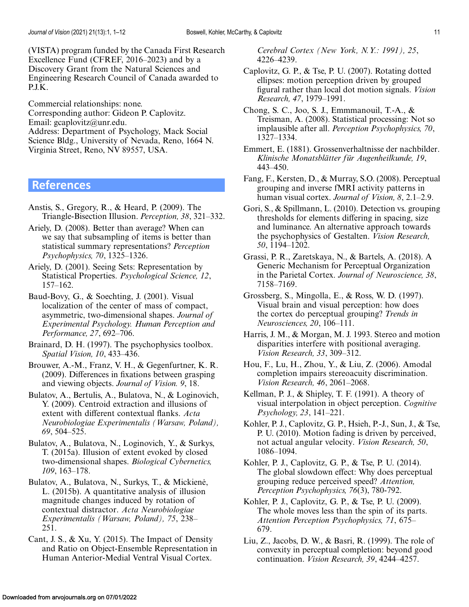<span id="page-10-0"></span>(VISTA) program funded by the Canada First Research Excellence Fund (CFREF, 2016–2023) and by a Discovery Grant from the Natural Sciences and Engineering Research Council of Canada awarded to P.J.K.

Commercial relationships: none. Corresponding author: Gideon P. Caplovitz. Email: gcaplovitz@unr.edu. Address: Department of Psychology, Mack Social Science Bldg., University of Nevada, Reno, 1664 N. Virginia Street, Reno, NV 89557, USA.

**References**

- Anstis, S., Gregory, R., & Heard, P. (2009). The Triangle-Bisection Illusion. *Perception, 38*, 321–332.
- Ariely, D. (2008). Better than average? When can we say that subsampling of items is better than statistical summary representations? *Perception Psychophysics, 70*, 1325–1326.
- Ariely, D. (2001). Seeing Sets: Representation by Statistical Properties. *Psychological Science, 12*, 157–162.
- Baud-Bovy, G., & Soechting, J. (2001). Visual localization of the center of mass of compact, asymmetric, two-dimensional shapes. *Journal of Experimental Psychology. Human Perception and Performance, 27*, 692–706.
- Brainard, D. H. (1997). The psychophysics toolbox. *Spatial Vision, 10*, 433–436.
- Brouwer, A.-M., Franz, V. H., & Gegenfurtner, K. R. (2009). Differences in fixations between grasping and viewing objects. *Journal of Vision. 9*, 18.
- Bulatov, A., Bertulis, A., Bulatova, N., & Loginovich, Y. (2009). Centroid extraction and illusions of extent with different contextual flanks. *Acta Neurobiologiae Experimentalis (Warsaw, Poland), 69*, 504–525.
- Bulatov, A., Bulatova, N., Loginovich, Y., & Surkys, T. (2015a). Illusion of extent evoked by closed two-dimensional shapes. *Biological Cybernetics, 109*, 163–178.
- Bulatov, A., Bulatova, N., Surkys, T., & Mickienė, L. (2015b). A quantitative analysis of illusion magnitude changes induced by rotation of contextual distractor. *Acta Neurobiologiae Experimentalis (Warsaw, Poland), 75*, 238– 251.
- Cant, J. S., & Xu, Y. (2015). The Impact of Density and Ratio on Object-Ensemble Representation in Human Anterior-Medial Ventral Visual Cortex.

*Cerebral Cortex (New York, N.Y.: 1991), 25*, 4226–4239.

- Caplovitz, G. P., & Tse, P. U. (2007). Rotating dotted ellipses: motion perception driven by grouped figural rather than local dot motion signals. *Vision Research, 47*, 1979–1991.
- Chong, S. C., Joo, S. J., Emmmanouil, T.-A., & Treisman, A. (2008). Statistical processing: Not so implausible after all. *Perception Psychophysics, 70*, 1327–1334.
- Emmert, E. (1881). Grossenverhaltnisse der nachbilder. *Klinische Monatsblätter für Augenheilkunde, 19*, 443–450.
- Fang, F., Kersten, D., & Murray, S.O. (2008). Perceptual grouping and inverse fMRI activity patterns in human visual cortex. *Journal of Vision, 8*, 2.1–2.9.
- Gori, S., & Spillmann, L. (2010). Detection vs. grouping thresholds for elements differing in spacing, size and luminance. An alternative approach towards the psychophysics of Gestalten. *Vision Research, 50*, 1194–1202.
- Grassi, P. R., Zaretskaya, N., & Bartels, A. (2018). A Generic Mechanism for Perceptual Organization in the Parietal Cortex. *Journal of Neuroscience, 38*, 7158–7169.
- Grossberg, S., Mingolla, E., & Ross, W. D. (1997). Visual brain and visual perception: how does the cortex do perceptual grouping? *Trends in Neurosciences, 20*, 106–111.
- Harris, J. M., & Morgan, M. J. 1993. Stereo and motion disparities interfere with positional averaging. *Vision Research, 33*, 309–312.
- Hou, F., Lu, H., Zhou, Y., & Liu, Z. (2006). Amodal completion impairs stereoacuity discrimination. *Vision Research, 46*, 2061–2068.
- Kellman, P. J., & Shipley, T. F. (1991). A theory of visual interpolation in object perception. *Cognitive Psychology, 23*, 141–221.
- Kohler, P. J., Caplovitz, G. P., Hsieh, P.-J., Sun, J., & Tse, P. U. (2010). Motion fading is driven by perceived, not actual angular velocity. *Vision Research, 50*, 1086–1094.
- Kohler, P. J., Caplovitz, G. P., & Tse, P. U. (2014). The global slowdown effect: Why does perceptual grouping reduce perceived speed? *Attention, Perception Psychophysics, 76*(3), 780-792.
- Kohler, P. J., Caplovitz, G. P., & Tse, P. U. (2009). The whole moves less than the spin of its parts. *Attention Perception Psychophysics, 71*, 675– 679.
- Liu, Z., Jacobs, D. W., & Basri, R. (1999). The role of convexity in perceptual completion: beyond good continuation. *Vision Research, 39*, 4244–4257.